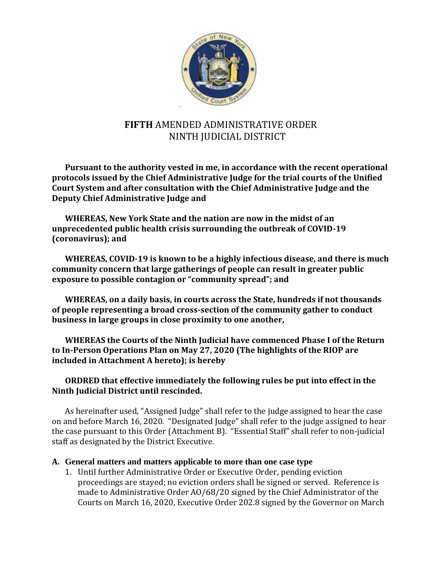

# **FIFTH** AMENDED ADMINISTRATIVE ORDER NINTH JUDICIAL DISTRICT

**Pursuant to the authority vested in me, in accordance with the recent operational protocols issued by the Chief Administrative Judge for the trial courts of the Unified Court System and after consultation with the Chief Administrative Judge and the Deputy Chief Administrative Judge and** 

**WHEREAS, New York State and the nation are now in the midst of an unprecedented public health crisis surrounding the outbreak of COVID-19 (coronavirus); and**

**WHEREAS, COVID-19 is known to be a highly infectious disease, and there is much community concern that large gatherings of people can result in greater public exposure to possible contagion or "community spread"; and**

**WHEREAS, on a daily basis, in courts across the State, hundreds if not thousands of people representing a broad cross-section of the community gather to conduct business in large groups in close proximity to one another,**

**WHEREAS the Courts of the Ninth Judicial have commenced Phase I of the Return to In-Person Operations Plan on May 27, 2020 (The highlights of the RIOP are included in Attachment A hereto); is hereby**

#### **ORDRED that effective immediately the following rules be put into effect in the Ninth Judicial District until rescinded.**

As hereinafter used, "Assigned Judge" shall refer to the judge assigned to hear the case on and before March 16, 2020. "Designated Judge" shall refer to the judge assigned to hear the case pursuant to this Order (Attachment B). "Essential Staff" shall refer to non-judicial staff as designated by the District Executive.

#### **A. General matters and matters applicable to more than one case type**

1. Until further Administrative Order or Executive Order, pending eviction proceedings are stayed; no eviction orders shall be signed or served. Reference is made to Administrative Order AO/68/20 signed by the Chief Administrator of the Courts on March 16, 2020, Executive Order 202.8 signed by the Governor on March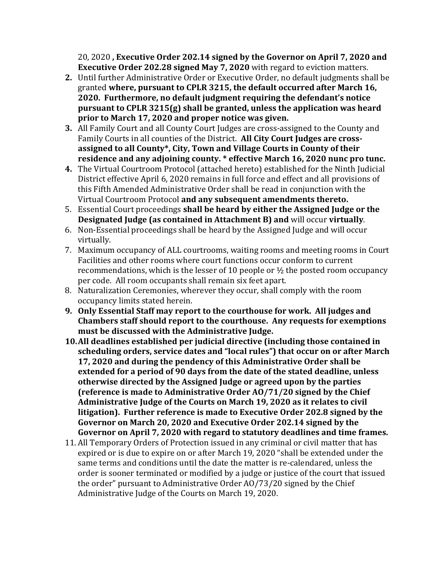20, 2020 **, Executive Order 202.14 signed by the Governor on April 7, 2020 and Executive Order 202.28 signed May 7, 2020** with regard to eviction matters.

- **2.** Until further Administrative Order or Executive Order, no default judgments shall be granted **where, pursuant to CPLR 3215, the default occurred after March 16, 2020. Furthermore, no default judgment requiring the defendant's notice pursuant to CPLR 3215(g) shall be granted, unless the application was heard prior to March 17, 2020 and proper notice was given.**
- **3.** All Family Court and all County Court Judges are cross-assigned to the County and Family Courts in all counties of the District. **All City Court Judges are crossassigned to all County\*, City, Town and Village Courts in County of their residence and any adjoining county. \* effective March 16, 2020 nunc pro tunc.**
- **4.** The Virtual Courtroom Protocol (attached hereto) established for the Ninth Judicial District effective April 6, 2020 remains in full force and effect and all provisions of this Fifth Amended Administrative Order shall be read in conjunction with the Virtual Courtroom Protocol **and any subsequent amendments thereto.**
- 5. Essential Court proceedings **shall be heard by either the Assigned Judge or the Designated Judge (as contained in Attachment B) and** will occur **virtually**.
- 6. Non-Essential proceedings shall be heard by the Assigned Judge and will occur virtually.
- 7. Maximum occupancy of ALL courtrooms, waiting rooms and meeting rooms in Court Facilities and other rooms where court functions occur conform to current recommendations, which is the lesser of 10 people or  $\frac{1}{2}$  the posted room occupancy per code. All room occupants shall remain six feet apart.
- 8. Naturalization Ceremonies, wherever they occur, shall comply with the room occupancy limits stated herein.
- **9. Only Essential Staff may report to the courthouse for work. All judges and Chambers staff should report to the courthouse. Any requests for exemptions must be discussed with the Administrative Judge.**
- **10.All deadlines established per judicial directive (including those contained in scheduling orders, service dates and "local rules") that occur on or after March 17, 2020 and during the pendency of this Administrative Order shall be extended for a period of 90 days from the date of the stated deadline, unless otherwise directed by the Assigned Judge or agreed upon by the parties (reference is made to Administrative Order AO/71/20 signed by the Chief Administrative Judge of the Courts on March 19, 2020 as it relates to civil litigation). Further reference is made to Executive Order 202.8 signed by the Governor on March 20, 2020 and Executive Order 202.14 signed by the Governor on April 7, 2020 with regard to statutory deadlines and time frames.**
- 11. All Temporary Orders of Protection issued in any criminal or civil matter that has expired or is due to expire on or after March 19, 2020 "shall be extended under the same terms and conditions until the date the matter is re-calendared, unless the order is sooner terminated or modified by a judge or justice of the court that issued the order" pursuant to Administrative Order AO/73/20 signed by the Chief Administrative Judge of the Courts on March 19, 2020.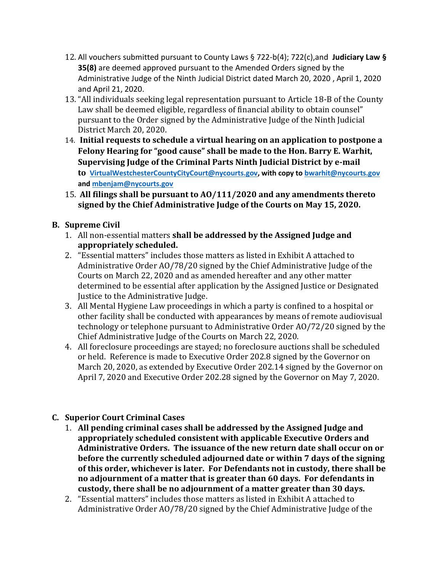- 12. All vouchers submitted pursuant to County Laws § 722-b(4); 722(c),and **Judiciary Law § 35(8)** are deemed approved pursuant to the Amended Orders signed by the Administrative Judge of the Ninth Judicial District dated March 20, 2020 , April 1, 2020 and April 21, 2020.
- 13. "All individuals seeking legal representation pursuant to Article 18-B of the County Law shall be deemed eligible, regardless of financial ability to obtain counsel" pursuant to the Order signed by the Administrative Judge of the Ninth Judicial District March 20, 2020.
- 14. **Initial requests to schedule a virtual hearing on an application to postpone a Felony Hearing for "good cause" shall be made to the Hon. Barry E. Warhit, Supervising Judge of the Criminal Parts Ninth Judicial District by e-mail to [VirtualWestchesterCountyCityCourt@nycourts.gov,](mailto:VirtualWestchesterCountyCityCourt@nycourts.gov) with copy t[o bwarhit@nycourts.gov](mailto:bwarhit@nycourts.gov) an[d mbenjam@nycourts.gov](mailto:mbenjam@nycourts.gov)**
- 15. **All filings shall be pursuant to AO/111/2020 and any amendments thereto signed by the Chief Administrative Judge of the Courts on May 15, 2020.**

### **B. Supreme Civil**

- 1. All non-essential matters **shall be addressed by the Assigned Judge and appropriately scheduled.**
- 2. "Essential matters" includes those matters as listed in Exhibit A attached to Administrative Order AO/78/20 signed by the Chief Administrative Judge of the Courts on March 22, 2020 and as amended hereafter and any other matter determined to be essential after application by the Assigned Justice or Designated Justice to the Administrative Judge.
- 3. All Mental Hygiene Law proceedings in which a party is confined to a hospital or other facility shall be conducted with appearances by means of remote audiovisual technology or telephone pursuant to Administrative Order AO/72/20 signed by the Chief Administrative Judge of the Courts on March 22, 2020.
- 4. All foreclosure proceedings are stayed; no foreclosure auctions shall be scheduled or held. Reference is made to Executive Order 202.8 signed by the Governor on March 20, 2020, as extended by Executive Order 202.14 signed by the Governor on April 7, 2020 and Executive Order 202.28 signed by the Governor on May 7, 2020.

## **C. Superior Court Criminal Cases**

- 1. **All pending criminal cases shall be addressed by the Assigned Judge and appropriately scheduled consistent with applicable Executive Orders and Administrative Orders. The issuance of the new return date shall occur on or before the currently scheduled adjourned date or within 7 days of the signing of this order, whichever is later. For Defendants not in custody, there shall be no adjournment of a matter that is greater than 60 days. For defendants in custody, there shall be no adjournment of a matter greater than 30 days.**
- 2. "Essential matters" includes those matters as listed in Exhibit A attached to Administrative Order AO/78/20 signed by the Chief Administrative Judge of the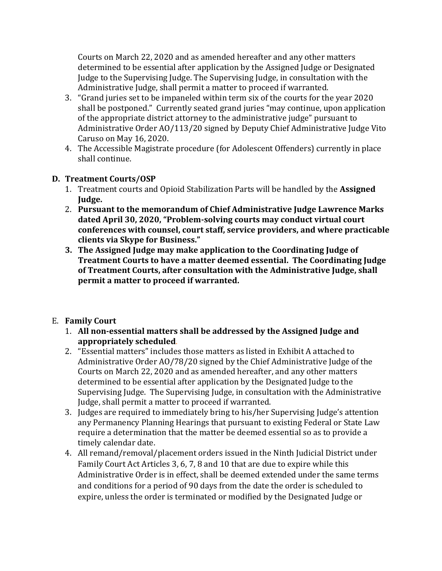Courts on March 22, 2020 and as amended hereafter and any other matters determined to be essential after application by the Assigned Judge or Designated Judge to the Supervising Judge. The Supervising Judge, in consultation with the Administrative Judge, shall permit a matter to proceed if warranted.

- 3. "Grand juries set to be impaneled within term six of the courts for the year 2020 shall be postponed." Currently seated grand juries "may continue, upon application of the appropriate district attorney to the administrative judge" pursuant to Administrative Order AO/113/20 signed by Deputy Chief Administrative Judge Vito Caruso on May 16, 2020.
- 4. The Accessible Magistrate procedure (for Adolescent Offenders) currently in place shall continue.

#### **D. Treatment Courts/OSP**

- 1. Treatment courts and Opioid Stabilization Parts will be handled by the **Assigned Judge.**
- 2. **Pursuant to the memorandum of Chief Administrative Judge Lawrence Marks dated April 30, 2020, "Problem-solving courts may conduct virtual court conferences with counsel, court staff, service providers, and where practicable clients via Skype for Business."**
- **3. The Assigned Judge may make application to the Coordinating Judge of Treatment Courts to have a matter deemed essential. The Coordinating Judge of Treatment Courts, after consultation with the Administrative Judge, shall permit a matter to proceed if warranted.**

### E. **Family Court**

- 1. **All non-essential matters shall be addressed by the Assigned Judge and appropriately scheduled**.
- 2. "Essential matters" includes those matters as listed in Exhibit A attached to Administrative Order AO/78/20 signed by the Chief Administrative Judge of the Courts on March 22, 2020 and as amended hereafter, and any other matters determined to be essential after application by the Designated Judge to the Supervising Judge. The Supervising Judge, in consultation with the Administrative Judge, shall permit a matter to proceed if warranted.
- 3. Judges are required to immediately bring to his/her Supervising Judge's attention any Permanency Planning Hearings that pursuant to existing Federal or State Law require a determination that the matter be deemed essential so as to provide a timely calendar date.
- 4. All remand/removal/placement orders issued in the Ninth Judicial District under Family Court Act Articles 3, 6, 7, 8 and 10 that are due to expire while this Administrative Order is in effect, shall be deemed extended under the same terms and conditions for a period of 90 days from the date the order is scheduled to expire, unless the order is terminated or modified by the Designated Judge or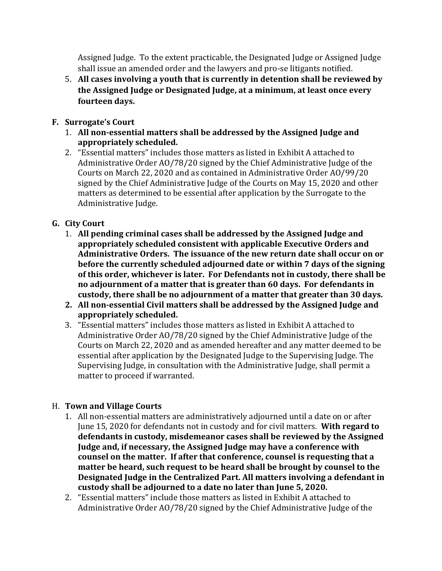Assigned Judge. To the extent practicable, the Designated Judge or Assigned Judge shall issue an amended order and the lawyers and pro-se litigants notified.

5. **All cases involving a youth that is currently in detention shall be reviewed by the Assigned Judge or Designated Judge, at a minimum, at least once every fourteen days.**

### **F. Surrogate's Court**

- 1. **All non-essential matters shall be addressed by the Assigned Judge and appropriately scheduled.**
- 2. "Essential matters" includes those matters as listed in Exhibit A attached to Administrative Order AO/78/20 signed by the Chief Administrative Judge of the Courts on March 22, 2020 and as contained in Administrative Order AO/99/20 signed by the Chief Administrative Judge of the Courts on May 15, 2020 and other matters as determined to be essential after application by the Surrogate to the Administrative Judge.

# **G. City Court**

- 1. **All pending criminal cases shall be addressed by the Assigned Judge and appropriately scheduled consistent with applicable Executive Orders and Administrative Orders. The issuance of the new return date shall occur on or before the currently scheduled adjourned date or within 7 days of the signing of this order, whichever is later. For Defendants not in custody, there shall be no adjournment of a matter that is greater than 60 days. For defendants in custody, there shall be no adjournment of a matter that greater than 30 days.**
- **2. All non-essential Civil matters shall be addressed by the Assigned Judge and appropriately scheduled.**
- 3. "Essential matters" includes those matters as listed in Exhibit A attached to Administrative Order AO/78/20 signed by the Chief Administrative Judge of the Courts on March 22, 2020 and as amended hereafter and any matter deemed to be essential after application by the Designated Judge to the Supervising Judge. The Supervising Judge, in consultation with the Administrative Judge, shall permit a matter to proceed if warranted.

## H. **Town and Village Courts**

- 1. All non-essential matters are administratively adjourned until a date on or after June 15, 2020 for defendants not in custody and for civil matters. **With regard to defendants in custody, misdemeanor cases shall be reviewed by the Assigned Judge and, if necessary, the Assigned Judge may have a conference with counsel on the matter. If after that conference, counsel is requesting that a matter be heard, such request to be heard shall be brought by counsel to the Designated Judge in the Centralized Part. All matters involving a defendant in custody shall be adjourned to a date no later than June 5, 2020.**
- 2. "Essential matters" include those matters as listed in Exhibit A attached to Administrative Order AO/78/20 signed by the Chief Administrative Judge of the